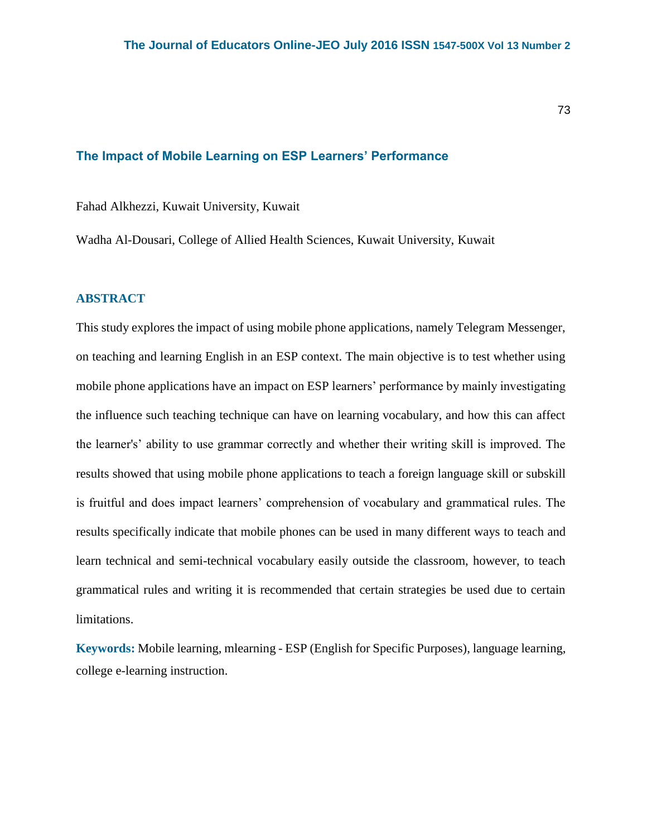## **The Impact of Mobile Learning on ESP Learners' Performance**

Fahad Alkhezzi, Kuwait University, Kuwait

Wadha Al-Dousari, College of Allied Health Sciences, Kuwait University, Kuwait

# **ABSTRACT**

This study explores the impact of using mobile phone applications, namely Telegram Messenger, on teaching and learning English in an ESP context. The main objective is to test whether using mobile phone applications have an impact on ESP learners' performance by mainly investigating the influence such teaching technique can have on learning vocabulary, and how this can affect the learner's' ability to use grammar correctly and whether their writing skill is improved. The results showed that using mobile phone applications to teach a foreign language skill or subskill is fruitful and does impact learners' comprehension of vocabulary and grammatical rules. The results specifically indicate that mobile phones can be used in many different ways to teach and learn technical and semi-technical vocabulary easily outside the classroom, however, to teach grammatical rules and writing it is recommended that certain strategies be used due to certain limitations.

**Keywords:** Mobile learning, mlearning - ESP (English for Specific Purposes), language learning, college e-learning instruction.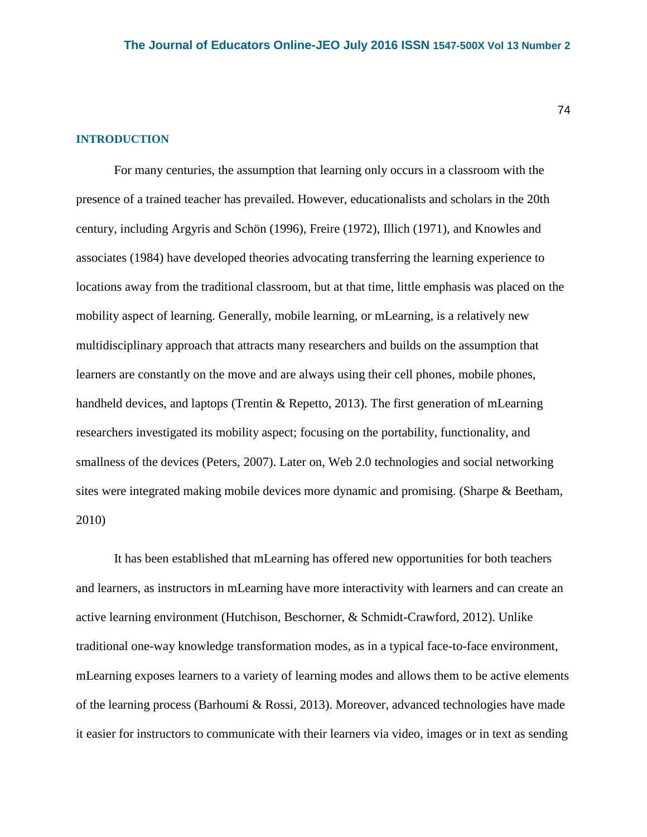#### **INTRODUCTION**

For many centuries, the assumption that learning only occurs in a classroom with the presence of a trained teacher has prevailed. However, educationalists and scholars in the 20th century, including Argyris and Schön (1996), Freire (1972), Illich (1971), and Knowles and associates (1984) have developed theories advocating transferring the learning experience to locations away from the traditional classroom, but at that time, little emphasis was placed on the mobility aspect of learning. Generally, mobile learning, or mLearning, is a relatively new multidisciplinary approach that attracts many researchers and builds on the assumption that learners are constantly on the move and are always using their cell phones, mobile phones, handheld devices, and laptops (Trentin & Repetto, 2013). The first generation of mLearning researchers investigated its mobility aspect; focusing on the portability, functionality, and smallness of the devices (Peters, 2007). Later on, Web 2.0 technologies and social networking sites were integrated making mobile devices more dynamic and promising. (Sharpe & Beetham, 2010)

It has been established that mLearning has offered new opportunities for both teachers and learners, as instructors in mLearning have more interactivity with learners and can create an active learning environment (Hutchison, Beschorner, & Schmidt-Crawford, 2012). Unlike traditional one-way knowledge transformation modes, as in a typical face-to-face environment, mLearning exposes learners to a variety of learning modes and allows them to be active elements of the learning process (Barhoumi & Rossi, 2013). Moreover, advanced technologies have made it easier for instructors to communicate with their learners via video, images or in text as sending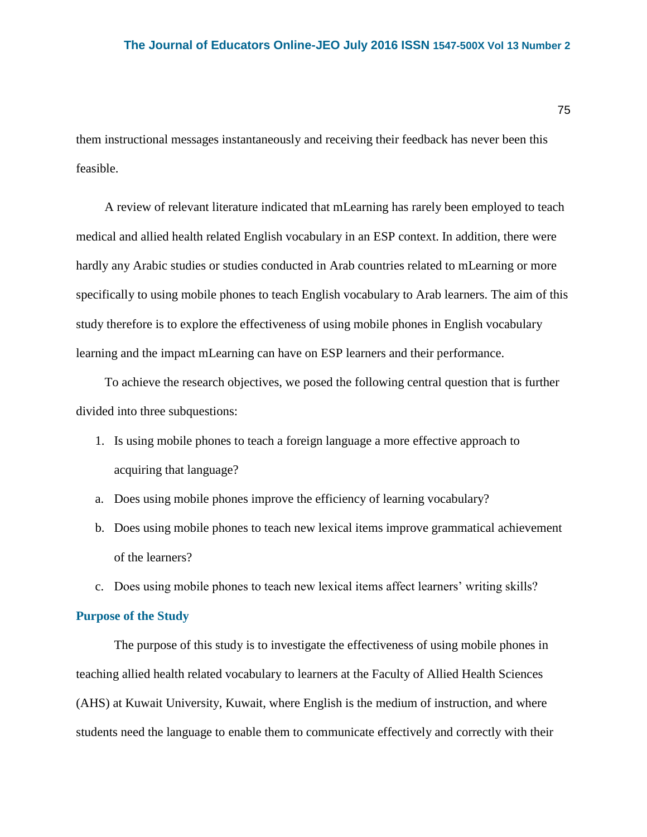them instructional messages instantaneously and receiving their feedback has never been this feasible.

A review of relevant literature indicated that mLearning has rarely been employed to teach medical and allied health related English vocabulary in an ESP context. In addition, there were hardly any Arabic studies or studies conducted in Arab countries related to mLearning or more specifically to using mobile phones to teach English vocabulary to Arab learners. The aim of this study therefore is to explore the effectiveness of using mobile phones in English vocabulary learning and the impact mLearning can have on ESP learners and their performance.

To achieve the research objectives, we posed the following central question that is further divided into three subquestions:

- 1. Is using mobile phones to teach a foreign language a more effective approach to acquiring that language?
- a. Does using mobile phones improve the efficiency of learning vocabulary?
- b. Does using mobile phones to teach new lexical items improve grammatical achievement of the learners?
- c. Does using mobile phones to teach new lexical items affect learners' writing skills?

### **Purpose of the Study**

The purpose of this study is to investigate the effectiveness of using mobile phones in teaching allied health related vocabulary to learners at the Faculty of Allied Health Sciences (AHS) at Kuwait University, Kuwait, where English is the medium of instruction, and where students need the language to enable them to communicate effectively and correctly with their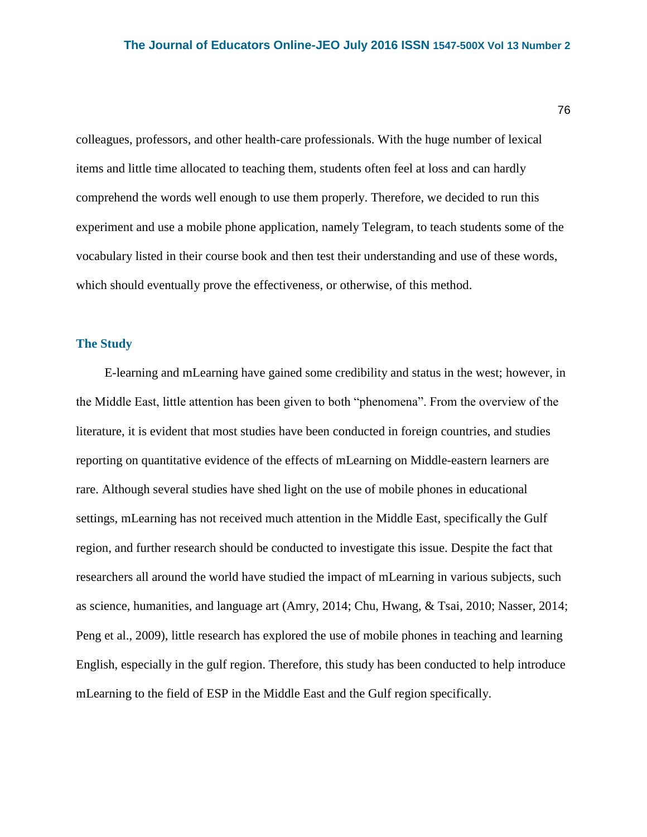colleagues, professors, and other health-care professionals. With the huge number of lexical items and little time allocated to teaching them, students often feel at loss and can hardly comprehend the words well enough to use them properly. Therefore, we decided to run this experiment and use a mobile phone application, namely Telegram, to teach students some of the vocabulary listed in their course book and then test their understanding and use of these words, which should eventually prove the effectiveness, or otherwise, of this method.

# **The Study**

E-learning and mLearning have gained some credibility and status in the west; however, in the Middle East, little attention has been given to both "phenomena". From the overview of the literature, it is evident that most studies have been conducted in foreign countries, and studies reporting on quantitative evidence of the effects of mLearning on Middle-eastern learners are rare. Although several studies have shed light on the use of mobile phones in educational settings, mLearning has not received much attention in the Middle East, specifically the Gulf region, and further research should be conducted to investigate this issue. Despite the fact that researchers all around the world have studied the impact of mLearning in various subjects, such as science, humanities, and language art (Amry, 2014; Chu, Hwang, & Tsai, 2010; Nasser, 2014; Peng et al., 2009), little research has explored the use of mobile phones in teaching and learning English, especially in the gulf region. Therefore, this study has been conducted to help introduce mLearning to the field of ESP in the Middle East and the Gulf region specifically.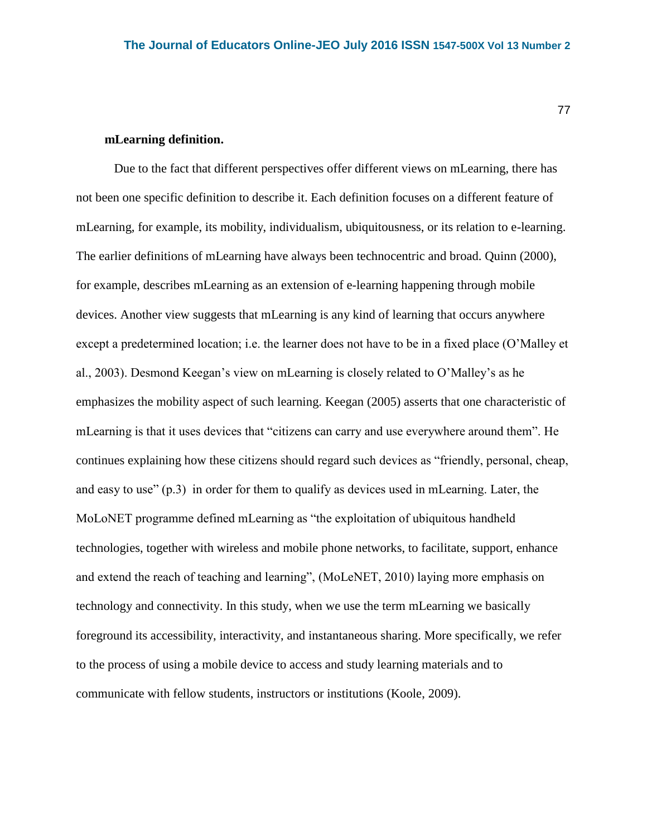## **mLearning definition.**

Due to the fact that different perspectives offer different views on mLearning, there has not been one specific definition to describe it. Each definition focuses on a different feature of mLearning, for example, its mobility, individualism, ubiquitousness, or its relation to e-learning. The earlier definitions of mLearning have always been technocentric and broad. Quinn (2000), for example, describes mLearning as an extension of e-learning happening through mobile devices. Another view suggests that mLearning is any kind of learning that occurs anywhere except a predetermined location; i.e. the learner does not have to be in a fixed place (O'Malley et al., 2003). Desmond Keegan's view on mLearning is closely related to O'Malley's as he emphasizes the mobility aspect of such learning. Keegan (2005) asserts that one characteristic of mLearning is that it uses devices that "citizens can carry and use everywhere around them". He continues explaining how these citizens should regard such devices as "friendly, personal, cheap, and easy to use" (p.3) in order for them to qualify as devices used in mLearning. Later, the MoLoNET programme defined mLearning as "the exploitation of ubiquitous handheld technologies, together with wireless and mobile phone networks, to facilitate, support, enhance and extend the reach of teaching and learning", (MoLeNET, 2010) laying more emphasis on technology and connectivity. In this study, when we use the term mLearning we basically foreground its accessibility, interactivity, and instantaneous sharing. More specifically, we refer to the process of using a mobile device to access and study learning materials and to communicate with fellow students, instructors or institutions (Koole, 2009).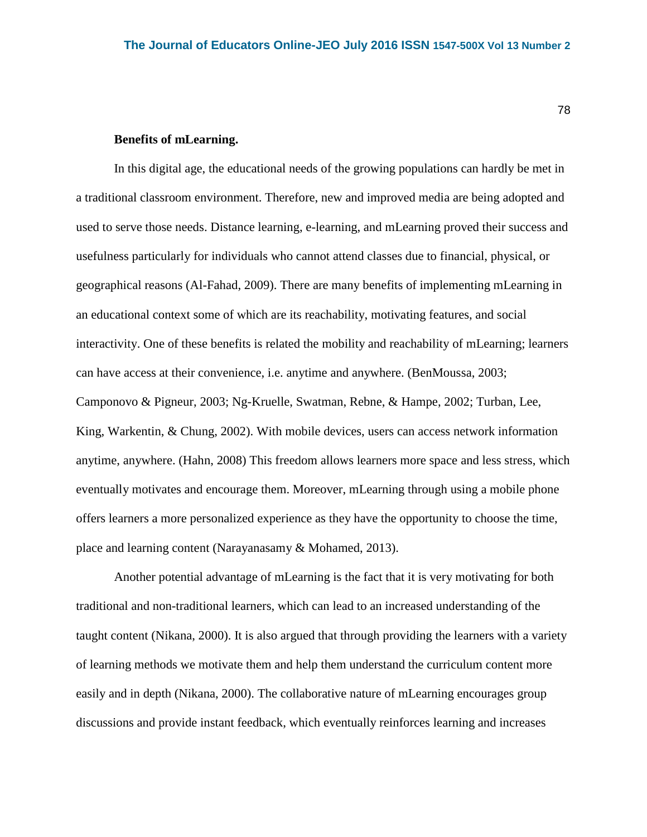# **Benefits of mLearning.**

In this digital age, the educational needs of the growing populations can hardly be met in a traditional classroom environment. Therefore, new and improved media are being adopted and used to serve those needs. Distance learning, e-learning, and mLearning proved their success and usefulness particularly for individuals who cannot attend classes due to financial, physical, or geographical reasons (Al-Fahad, 2009). There are many benefits of implementing mLearning in an educational context some of which are its reachability, motivating features, and social interactivity. One of these benefits is related the mobility and reachability of mLearning; learners can have access at their convenience, i.e. anytime and anywhere. (BenMoussa, 2003; Camponovo & Pigneur, 2003; Ng-Kruelle, Swatman, Rebne, & Hampe, 2002; Turban, Lee, King, Warkentin, & Chung, 2002). With mobile devices, users can access network information anytime, anywhere. (Hahn, 2008) This freedom allows learners more space and less stress, which eventually motivates and encourage them. Moreover, mLearning through using a mobile phone offers learners a more personalized experience as they have the opportunity to choose the time, place and learning content (Narayanasamy & Mohamed, 2013).

Another potential advantage of mLearning is the fact that it is very motivating for both traditional and non-traditional learners, which can lead to an increased understanding of the taught content (Nikana, 2000). It is also argued that through providing the learners with a variety of learning methods we motivate them and help them understand the curriculum content more easily and in depth (Nikana, 2000). The collaborative nature of mLearning encourages group discussions and provide instant feedback, which eventually reinforces learning and increases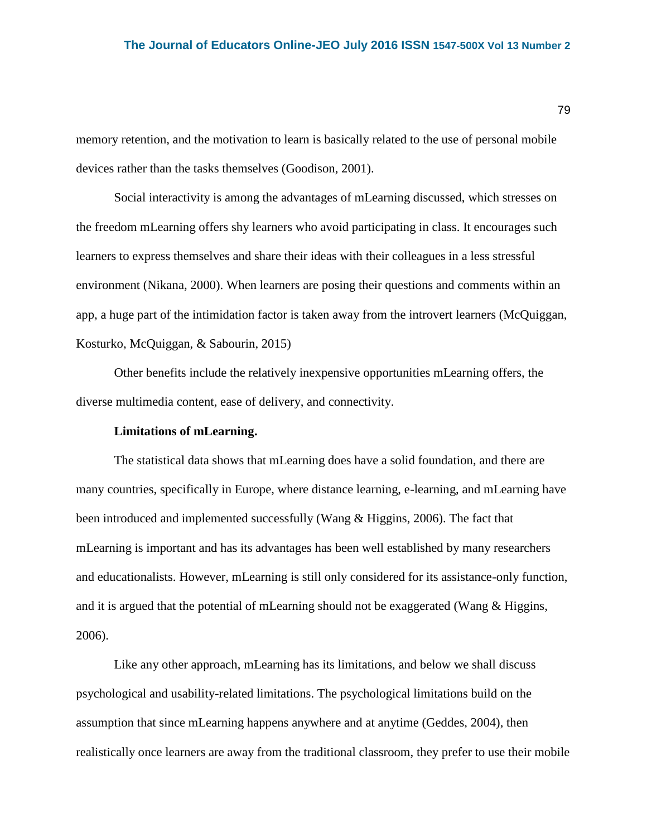memory retention, and the motivation to learn is basically related to the use of personal mobile devices rather than the tasks themselves (Goodison, 2001).

Social interactivity is among the advantages of mLearning discussed, which stresses on the freedom mLearning offers shy learners who avoid participating in class. It encourages such learners to express themselves and share their ideas with their colleagues in a less stressful environment (Nikana, 2000). When learners are posing their questions and comments within an app, a huge part of the intimidation factor is taken away from the introvert learners (McQuiggan, Kosturko, McQuiggan, & Sabourin, 2015)

Other benefits include the relatively inexpensive opportunities mLearning offers, the diverse multimedia content, ease of delivery, and connectivity.

### **Limitations of mLearning.**

The statistical data shows that mLearning does have a solid foundation, and there are many countries, specifically in Europe, where distance learning, e-learning, and mLearning have been introduced and implemented successfully (Wang & Higgins, 2006). The fact that mLearning is important and has its advantages has been well established by many researchers and educationalists. However, mLearning is still only considered for its assistance-only function, and it is argued that the potential of mLearning should not be exaggerated (Wang & Higgins, 2006).

Like any other approach, mLearning has its limitations, and below we shall discuss psychological and usability-related limitations. The psychological limitations build on the assumption that since mLearning happens anywhere and at anytime (Geddes, 2004), then realistically once learners are away from the traditional classroom, they prefer to use their mobile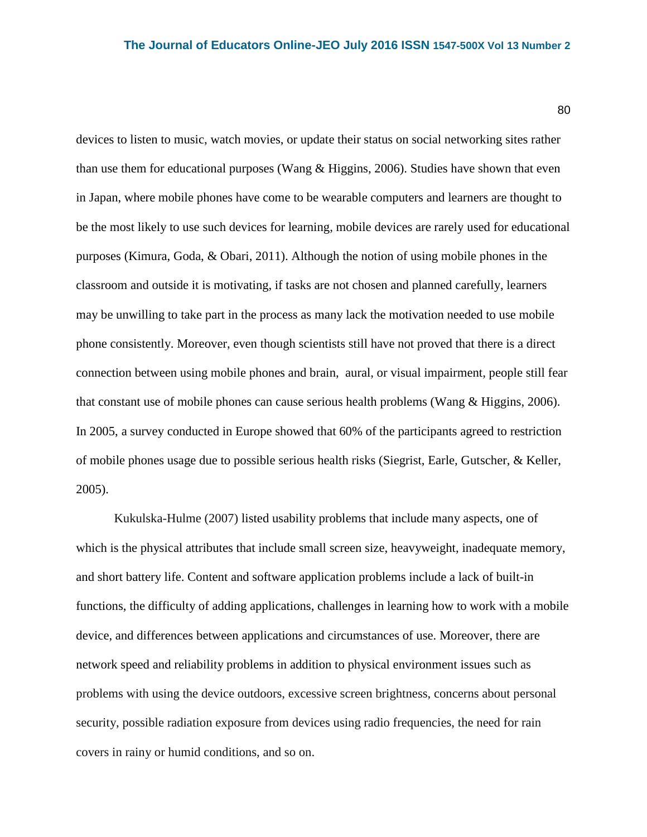80

devices to listen to music, watch movies, or update their status on social networking sites rather than use them for educational purposes (Wang & Higgins, 2006). Studies have shown that even in Japan, where mobile phones have come to be wearable computers and learners are thought to be the most likely to use such devices for learning, mobile devices are rarely used for educational purposes (Kimura, Goda, & Obari, 2011). Although the notion of using mobile phones in the classroom and outside it is motivating, if tasks are not chosen and planned carefully, learners may be unwilling to take part in the process as many lack the motivation needed to use mobile phone consistently. Moreover, even though scientists still have not proved that there is a direct connection between using mobile phones and brain, aural, or visual impairment, people still fear that constant use of mobile phones can cause serious health problems (Wang & Higgins, 2006). In 2005, a survey conducted in Europe showed that 60% of the participants agreed to restriction of mobile phones usage due to possible serious health risks (Siegrist, Earle, Gutscher, & Keller, 2005).

Kukulska-Hulme (2007) listed usability problems that include many aspects, one of which is the physical attributes that include small screen size, heavyweight, inadequate memory, and short battery life. Content and software application problems include a lack of built-in functions, the difficulty of adding applications, challenges in learning how to work with a mobile device, and differences between applications and circumstances of use. Moreover, there are network speed and reliability problems in addition to physical environment issues such as problems with using the device outdoors, excessive screen brightness, concerns about personal security, possible radiation exposure from devices using radio frequencies, the need for rain covers in rainy or humid conditions, and so on.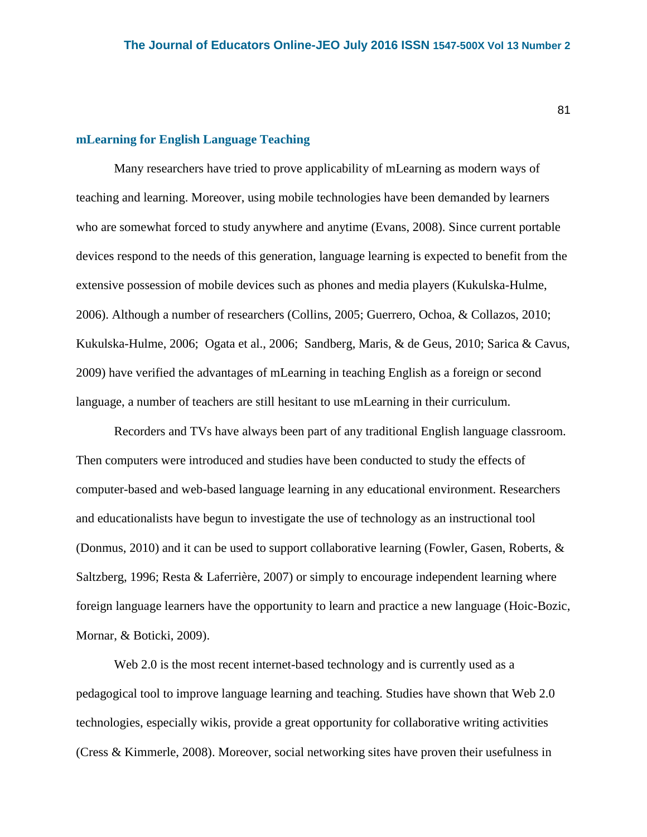### **mLearning for English Language Teaching**

Many researchers have tried to prove applicability of mLearning as modern ways of teaching and learning. Moreover, using mobile technologies have been demanded by learners who are somewhat forced to study anywhere and anytime (Evans, 2008). Since current portable devices respond to the needs of this generation, language learning is expected to benefit from the extensive possession of mobile devices such as phones and media players (Kukulska-Hulme, 2006). Although a number of researchers (Collins, 2005; Guerrero, Ochoa, & Collazos, 2010; Kukulska-Hulme, 2006; Ogata et al., 2006; Sandberg, Maris, & de Geus, 2010; Sarica & Cavus, 2009) have verified the advantages of mLearning in teaching English as a foreign or second language, a number of teachers are still hesitant to use mLearning in their curriculum.

Recorders and TVs have always been part of any traditional English language classroom. Then computers were introduced and studies have been conducted to study the effects of computer-based and web-based language learning in any educational environment. Researchers and educationalists have begun to investigate the use of technology as an instructional tool (Donmus, 2010) and it can be used to support collaborative learning (Fowler, Gasen, Roberts, & Saltzberg, 1996; Resta & Laferrière, 2007) or simply to encourage independent learning where foreign language learners have the opportunity to learn and practice a new language (Hoic-Bozic, Mornar, & Boticki, 2009).

Web 2.0 is the most recent internet-based technology and is currently used as a pedagogical tool to improve language learning and teaching. Studies have shown that Web 2.0 technologies, especially wikis, provide a great opportunity for collaborative writing activities (Cress & Kimmerle, 2008). Moreover, social networking sites have proven their usefulness in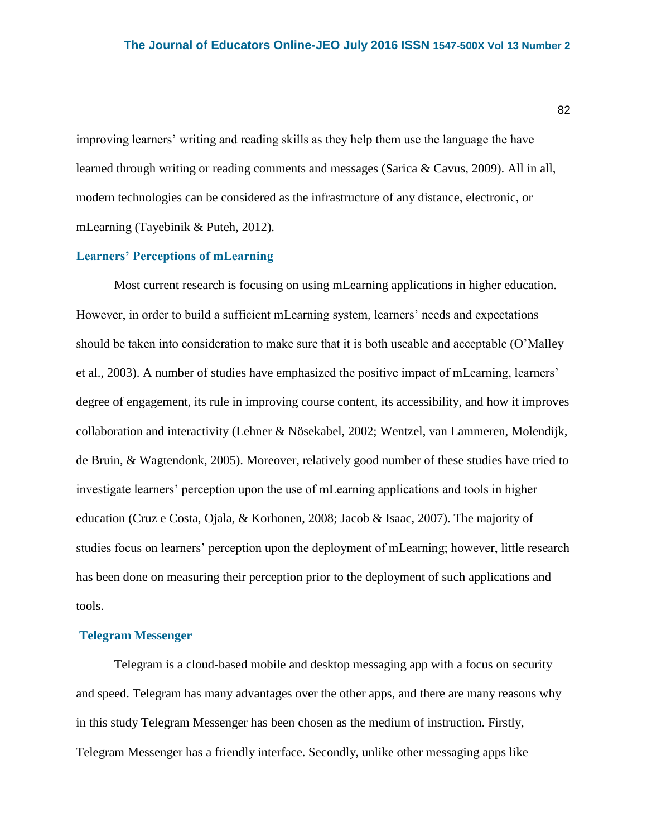improving learners' writing and reading skills as they help them use the language the have learned through writing or reading comments and messages (Sarica & Cavus, 2009). All in all, modern technologies can be considered as the infrastructure of any distance, electronic, or mLearning (Tayebinik & Puteh, 2012).

## **Learners' Perceptions of mLearning**

Most current research is focusing on using mLearning applications in higher education. However, in order to build a sufficient mLearning system, learners' needs and expectations should be taken into consideration to make sure that it is both useable and acceptable (O'Malley et al., 2003). A number of studies have emphasized the positive impact of mLearning, learners' degree of engagement, its rule in improving course content, its accessibility, and how it improves collaboration and interactivity (Lehner & Nösekabel, 2002; Wentzel, van Lammeren, Molendijk, de Bruin, & Wagtendonk, 2005). Moreover, relatively good number of these studies have tried to investigate learners' perception upon the use of mLearning applications and tools in higher education (Cruz e Costa, Ojala, & Korhonen, 2008; Jacob & Isaac, 2007). The majority of studies focus on learners' perception upon the deployment of mLearning; however, little research has been done on measuring their perception prior to the deployment of such applications and tools.

#### **Telegram Messenger**

Telegram is a cloud-based mobile and desktop messaging app with a focus on security and speed. Telegram has many advantages over the other apps, and there are many reasons why in this study Telegram Messenger has been chosen as the medium of instruction. Firstly, Telegram Messenger has a friendly interface. Secondly, unlike other messaging apps like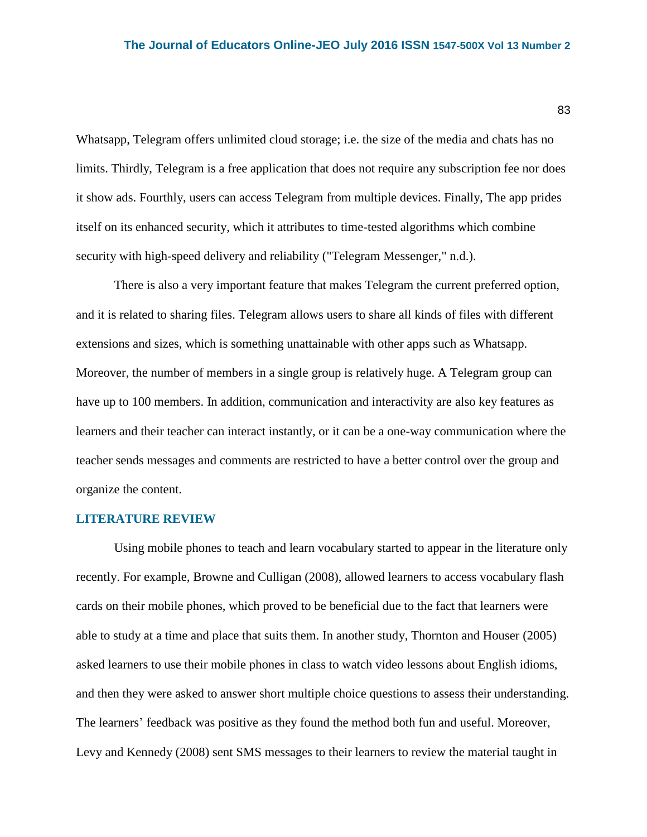Whatsapp, Telegram offers unlimited cloud storage; i.e. the size of the media and chats has no limits. Thirdly, Telegram is a free application that does not require any subscription fee nor does it show ads. Fourthly, users can access Telegram from multiple devices. Finally, The app prides itself on its enhanced security, which it attributes to time-tested algorithms which combine security with high-speed delivery and reliability ("Telegram Messenger," n.d.).

There is also a very important feature that makes Telegram the current preferred option, and it is related to sharing files. Telegram allows users to share all kinds of files with different extensions and sizes, which is something unattainable with other apps such as Whatsapp. Moreover, the number of members in a single group is relatively huge. A Telegram group can have up to 100 members. In addition, communication and interactivity are also key features as learners and their teacher can interact instantly, or it can be a one-way communication where the teacher sends messages and comments are restricted to have a better control over the group and organize the content.

#### **LITERATURE REVIEW**

Using mobile phones to teach and learn vocabulary started to appear in the literature only recently. For example, Browne and Culligan (2008), allowed learners to access vocabulary flash cards on their mobile phones, which proved to be beneficial due to the fact that learners were able to study at a time and place that suits them. In another study, Thornton and Houser (2005) asked learners to use their mobile phones in class to watch video lessons about English idioms, and then they were asked to answer short multiple choice questions to assess their understanding. The learners' feedback was positive as they found the method both fun and useful. Moreover, Levy and Kennedy (2008) sent SMS messages to their learners to review the material taught in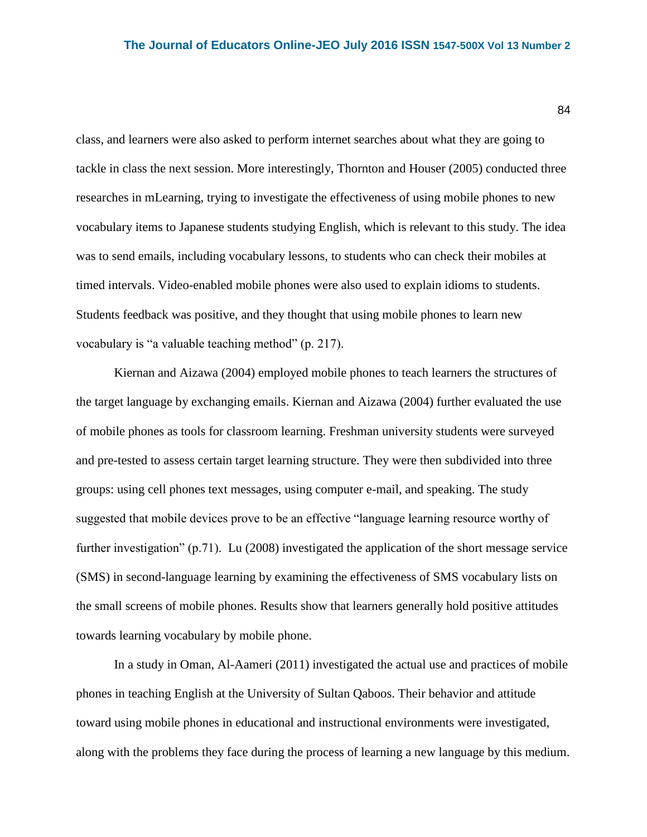class, and learners were also asked to perform internet searches about what they are going to tackle in class the next session. More interestingly, Thornton and Houser (2005) conducted three researches in mLearning, trying to investigate the effectiveness of using mobile phones to new vocabulary items to Japanese students studying English, which is relevant to this study. The idea was to send emails, including vocabulary lessons, to students who can check their mobiles at timed intervals. Video-enabled mobile phones were also used to explain idioms to students. Students feedback was positive, and they thought that using mobile phones to learn new vocabulary is "a valuable teaching method" (p. 217).

Kiernan and Aizawa (2004) employed mobile phones to teach learners the structures of the target language by exchanging emails. Kiernan and Aizawa (2004) further evaluated the use of mobile phones as tools for classroom learning. Freshman university students were surveyed and pre-tested to assess certain target learning structure. They were then subdivided into three groups: using cell phones text messages, using computer e-mail, and speaking. The study suggested that mobile devices prove to be an effective "language learning resource worthy of further investigation" (p.71). Lu (2008) investigated the application of the short message service (SMS) in second-language learning by examining the effectiveness of SMS vocabulary lists on the small screens of mobile phones. Results show that learners generally hold positive attitudes towards learning vocabulary by mobile phone.

In a study in Oman, Al-Aameri (2011) investigated the actual use and practices of mobile phones in teaching English at the University of Sultan Qaboos. Their behavior and attitude toward using mobile phones in educational and instructional environments were investigated, along with the problems they face during the process of learning a new language by this medium.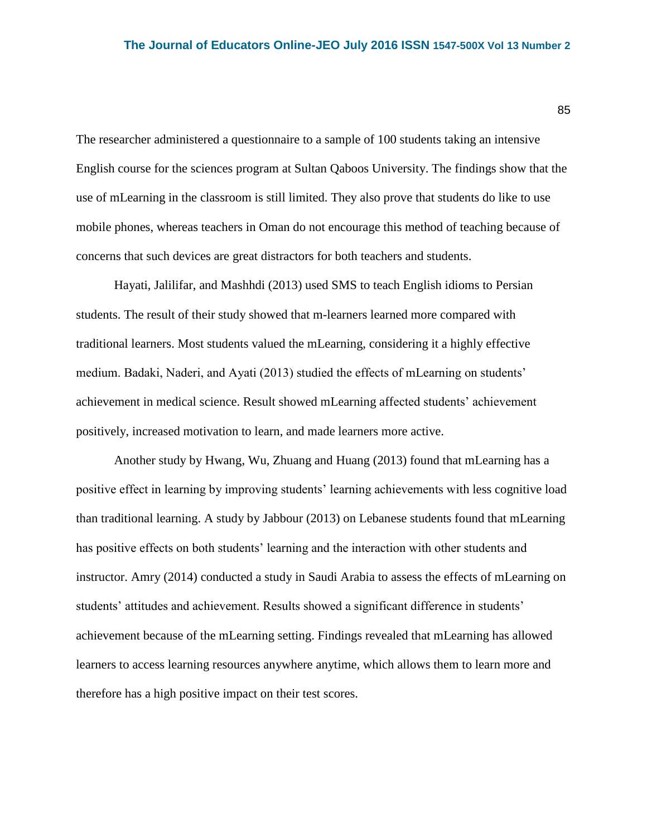The researcher administered a questionnaire to a sample of 100 students taking an intensive English course for the sciences program at Sultan Qaboos University. The findings show that the use of mLearning in the classroom is still limited. They also prove that students do like to use mobile phones, whereas teachers in Oman do not encourage this method of teaching because of concerns that such devices are great distractors for both teachers and students.

Hayati, Jalilifar, and Mashhdi (2013) used SMS to teach English idioms to Persian students. The result of their study showed that m-learners learned more compared with traditional learners. Most students valued the mLearning, considering it a highly effective medium. Badaki, Naderi, and Ayati (2013) studied the effects of mLearning on students' achievement in medical science. Result showed mLearning affected students' achievement positively, increased motivation to learn, and made learners more active.

Another study by Hwang, Wu, Zhuang and Huang (2013) found that mLearning has a positive effect in learning by improving students' learning achievements with less cognitive load than traditional learning. A study by Jabbour (2013) on Lebanese students found that mLearning has positive effects on both students' learning and the interaction with other students and instructor. Amry (2014) conducted a study in Saudi Arabia to assess the effects of mLearning on students' attitudes and achievement. Results showed a significant difference in students' achievement because of the mLearning setting. Findings revealed that mLearning has allowed learners to access learning resources anywhere anytime, which allows them to learn more and therefore has a high positive impact on their test scores.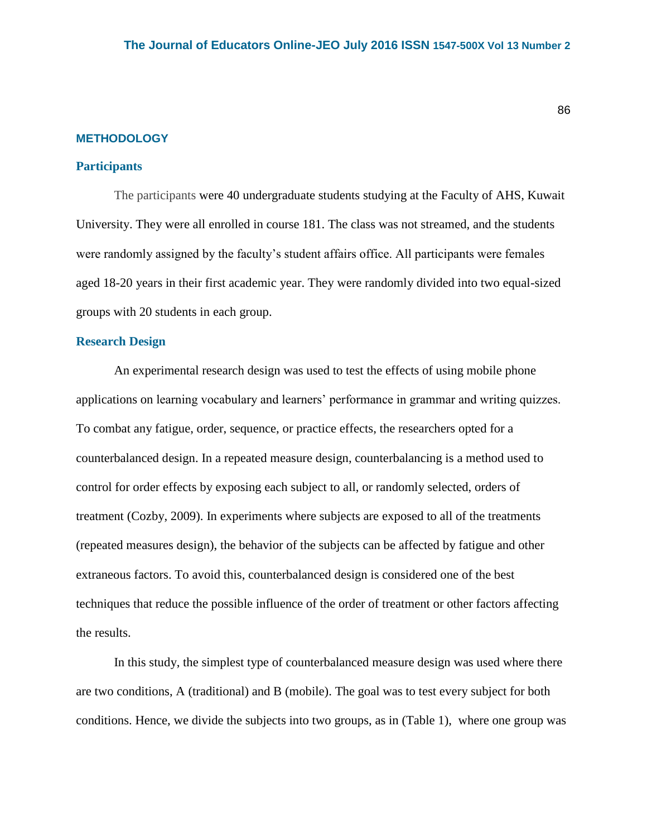#### **METHODOLOGY**

#### **Participants**

The participants were 40 undergraduate students studying at the Faculty of AHS, Kuwait University. They were all enrolled in course 181. The class was not streamed, and the students were randomly assigned by the faculty's student affairs office. All participants were females aged 18-20 years in their first academic year. They were randomly divided into two equal-sized groups with 20 students in each group.

#### **Research Design**

An experimental research design was used to test the effects of using mobile phone applications on learning vocabulary and learners' performance in grammar and writing quizzes. To combat any fatigue, order, sequence, or practice effects, the researchers opted for a counterbalanced design. In a repeated measure design, counterbalancing is a method used to control for order effects by exposing each subject to all, or randomly selected, orders of treatment (Cozby, 2009). In experiments where subjects are exposed to all of the treatments (repeated measures design), the behavior of the subjects can be affected by fatigue and other extraneous factors. To avoid this, counterbalanced design is considered one of the best techniques that reduce the possible influence of the order of treatment or other factors affecting the results.

In this study, the simplest type of counterbalanced measure design was used where there are two conditions, A (traditional) and B (mobile). The goal was to test every subject for both conditions. Hence, we divide the subjects into two groups, as in (Table 1), where one group was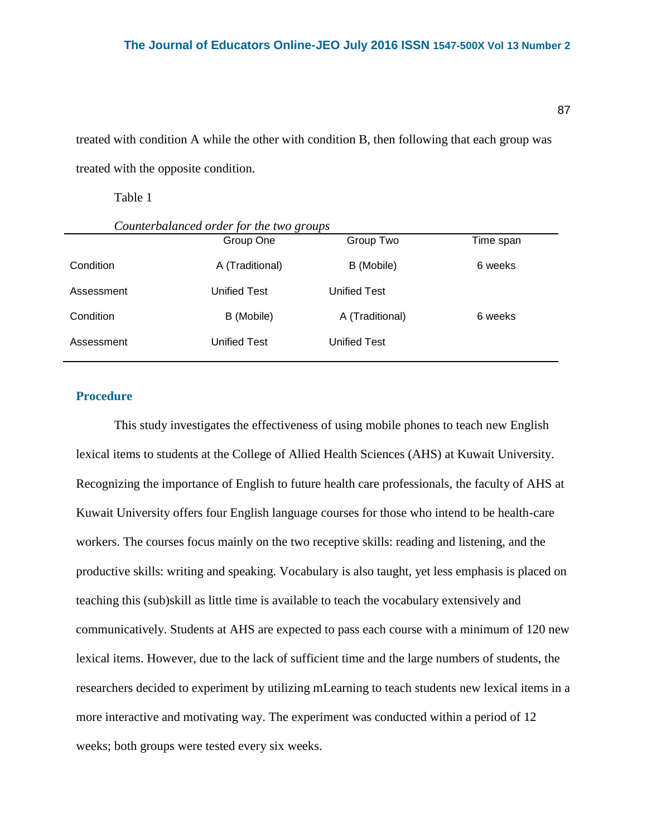treated with condition A while the other with condition B, then following that each group was treated with the opposite condition.

Table 1

|            | $\cdot$<br>ີ    |                     |           |  |
|------------|-----------------|---------------------|-----------|--|
|            | Group One       | Group Two           | Time span |  |
| Condition  | A (Traditional) | B (Mobile)          | 6 weeks   |  |
| Assessment | Unified Test    | Unified Test        |           |  |
| Condition  | B (Mobile)      | A (Traditional)     | 6 weeks   |  |
| Assessment | Unified Test    | <b>Unified Test</b> |           |  |
|            |                 |                     |           |  |

*Counterbalanced order for the two groups* 

## **Procedure**

This study investigates the effectiveness of using mobile phones to teach new English lexical items to students at the College of Allied Health Sciences (AHS) at Kuwait University. Recognizing the importance of English to future health care professionals, the faculty of AHS at Kuwait University offers four English language courses for those who intend to be health-care workers. The courses focus mainly on the two receptive skills: reading and listening, and the productive skills: writing and speaking. Vocabulary is also taught, yet less emphasis is placed on teaching this (sub)skill as little time is available to teach the vocabulary extensively and communicatively. Students at AHS are expected to pass each course with a minimum of 120 new lexical items. However, due to the lack of sufficient time and the large numbers of students, the researchers decided to experiment by utilizing mLearning to teach students new lexical items in a more interactive and motivating way. The experiment was conducted within a period of 12 weeks; both groups were tested every six weeks.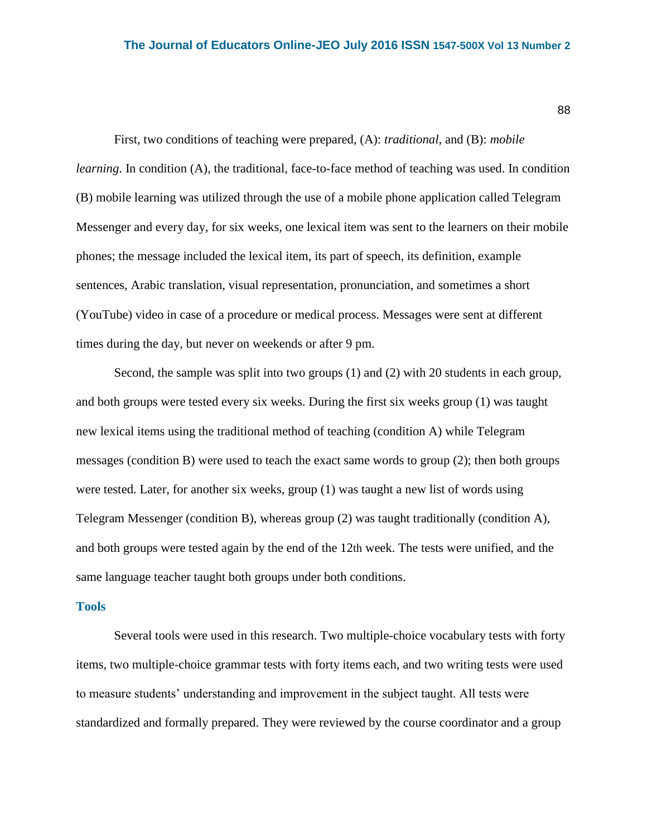First, two conditions of teaching were prepared, (A): *traditional*, and (B): *mobile learning*. In condition (A), the traditional, face-to-face method of teaching was used. In condition (B) mobile learning was utilized through the use of a mobile phone application called Telegram Messenger and every day, for six weeks, one lexical item was sent to the learners on their mobile phones; the message included the lexical item, its part of speech, its definition, example sentences, Arabic translation, visual representation, pronunciation, and sometimes a short (YouTube) video in case of a procedure or medical process. Messages were sent at different times during the day, but never on weekends or after 9 pm.

Second, the sample was split into two groups (1) and (2) with 20 students in each group, and both groups were tested every six weeks. During the first six weeks group (1) was taught new lexical items using the traditional method of teaching (condition A) while Telegram messages (condition B) were used to teach the exact same words to group (2); then both groups were tested. Later, for another six weeks, group (1) was taught a new list of words using Telegram Messenger (condition B), whereas group (2) was taught traditionally (condition A), and both groups were tested again by the end of the 12th week. The tests were unified, and the same language teacher taught both groups under both conditions.

## **Tools**

Several tools were used in this research. Two multiple-choice vocabulary tests with forty items, two multiple-choice grammar tests with forty items each, and two writing tests were used to measure students' understanding and improvement in the subject taught. All tests were standardized and formally prepared. They were reviewed by the course coordinator and a group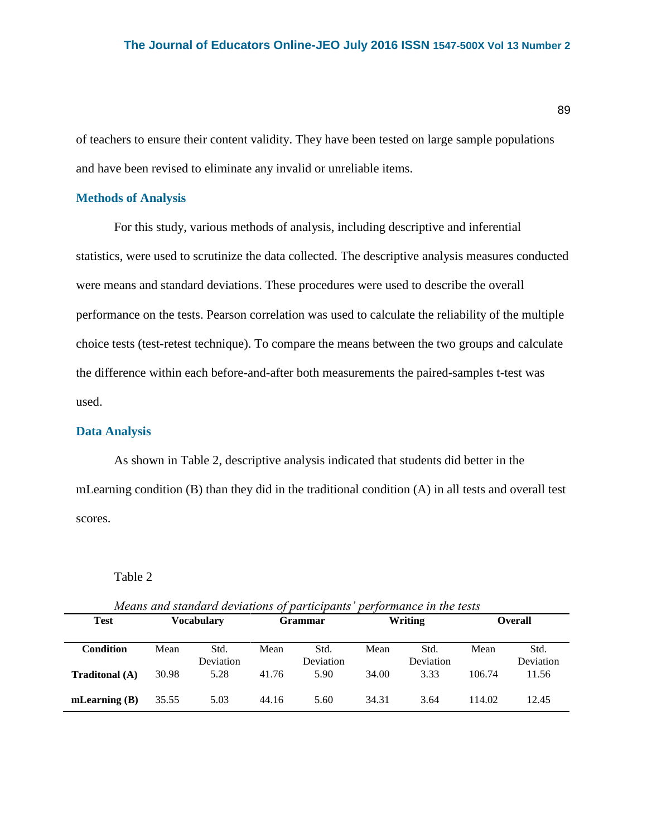89

of teachers to ensure their content validity. They have been tested on large sample populations and have been revised to eliminate any invalid or unreliable items.

## **Methods of Analysis**

For this study, various methods of analysis, including descriptive and inferential statistics, were used to scrutinize the data collected. The descriptive analysis measures conducted were means and standard deviations. These procedures were used to describe the overall performance on the tests. Pearson correlation was used to calculate the reliability of the multiple choice tests (test-retest technique). To compare the means between the two groups and calculate the difference within each before-and-after both measurements the paired-samples t-test was used.

## **Data Analysis**

As shown in Table 2, descriptive analysis indicated that students did better in the mLearning condition (B) than they did in the traditional condition (A) in all tests and overall test scores.

### Table 2

| Means and standard deviations of participants' performance in the tests |                   |                   |                |                   |         |                   |                |                   |  |
|-------------------------------------------------------------------------|-------------------|-------------------|----------------|-------------------|---------|-------------------|----------------|-------------------|--|
| <b>Test</b>                                                             | <b>Vocabulary</b> |                   | <b>Grammar</b> |                   | Writing |                   | <b>Overall</b> |                   |  |
| <b>Condition</b>                                                        | Mean              | Std.<br>Deviation | Mean           | Std.<br>Deviation | Mean    | Std.<br>Deviation | Mean           | Std.<br>Deviation |  |
| <b>Traditonal</b> (A)                                                   | 30.98             | 5.28              | 41.76          | 5.90              | 34.00   | 3.33              | 106.74         | 11.56             |  |
| mLearning $(B)$                                                         | 35.55             | 5.03              | 44.16          | 5.60              | 34.31   | 3.64              | 114.02         | 12.45             |  |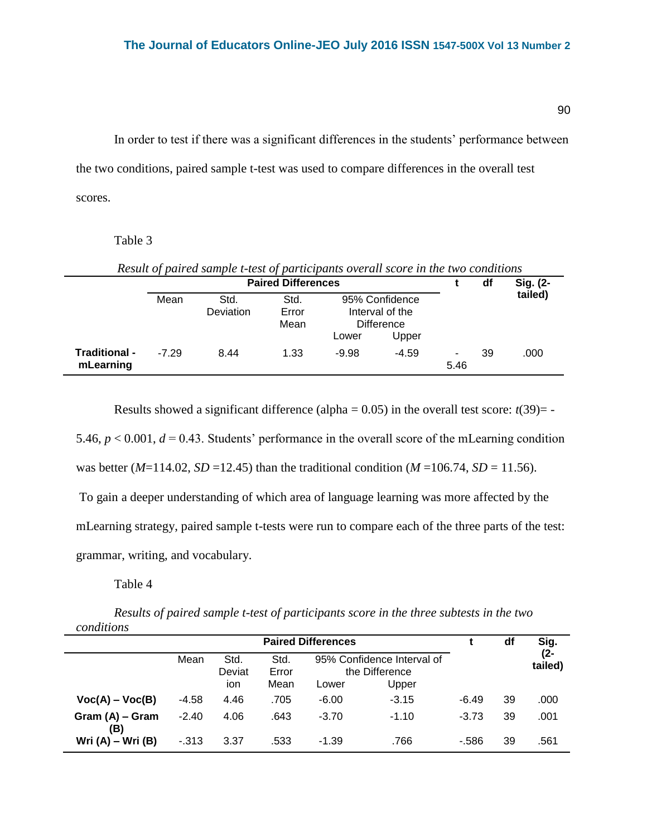In order to test if there was a significant differences in the students' performance between the two conditions, paired sample t-test was used to compare differences in the overall test scores.

Table 3

| Result of paired sample t-test of participants overall score in the two conditions |                           |                   |                       |                                                                          |         |           |    |          |  |  |
|------------------------------------------------------------------------------------|---------------------------|-------------------|-----------------------|--------------------------------------------------------------------------|---------|-----------|----|----------|--|--|
|                                                                                    | <b>Paired Differences</b> |                   |                       |                                                                          |         |           | df | Sig. (2- |  |  |
|                                                                                    | Mean                      | Std.<br>Deviation | Std.<br>Error<br>Mean | 95% Confidence<br>Interval of the<br><b>Difference</b><br>Upper<br>Lower |         |           |    | tailed)  |  |  |
| Traditional -<br>mLearning                                                         | -7 29                     | 8.44              | 1.33                  | $-9.98$                                                                  | $-4.59$ | ۰<br>5.46 | 39 | .000     |  |  |

Results showed a significant difference (alpha =  $0.05$ ) in the overall test score:  $t(39)$ = -

5.46,  $p < 0.001$ ,  $d = 0.43$ . Students' performance in the overall score of the mLearning condition was better (*M*=114.02, *SD* =12.45) than the traditional condition (*M* =106.74, *SD* = 11.56).

To gain a deeper understanding of which area of language learning was more affected by the

mLearning strategy, paired sample t-tests were run to compare each of the three parts of the test:

grammar, writing, and vocabulary.

Table 4

*Results of paired sample t-test of participants score in the three subtests in the two conditions*

|                        | <b>Paired Differences</b> |                |               |                                              |         |         | df | Sig.           |
|------------------------|---------------------------|----------------|---------------|----------------------------------------------|---------|---------|----|----------------|
|                        | Mean                      | Std.<br>Deviat | Std.<br>Error | 95% Confidence Interval of<br>the Difference |         |         |    | (2-<br>tailed) |
|                        |                           | ion            | Mean          | Lower                                        | Upper   |         |    |                |
| $Voc(A) - Voc(B)$      | $-4.58$                   | 4.46           | .705          | $-6.00$                                      | $-3.15$ | $-6.49$ | 39 | .000           |
| Gram (A) – Gram<br>(B) | $-2.40$                   | 4.06           | .643          | $-3.70$                                      | $-1.10$ | $-3.73$ | 39 | .001           |
| Wri $(A)$ – Wri $(B)$  | $-313$                    | 3.37           | .533          | $-1.39$                                      | .766    | $-586$  | 39 | .561           |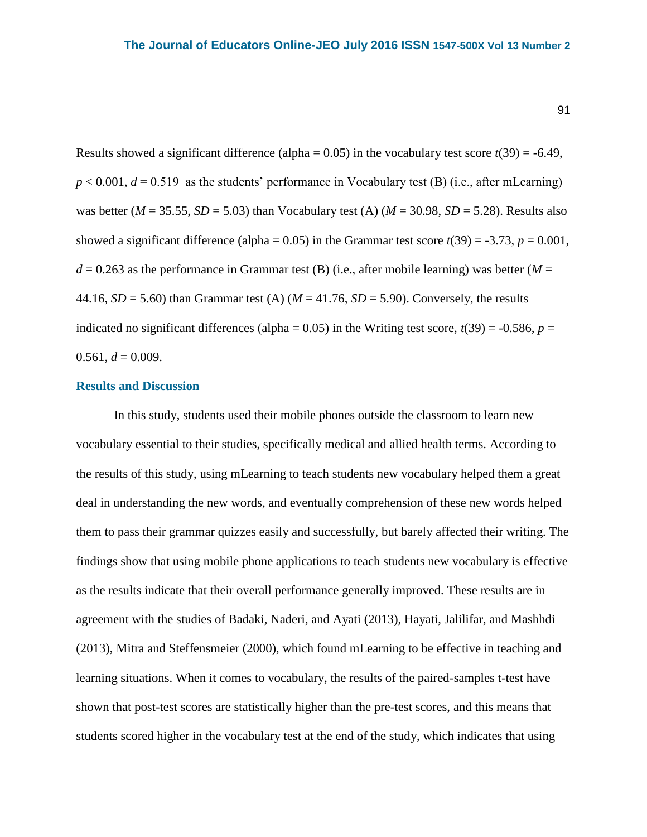Results showed a significant difference (alpha =  $0.05$ ) in the vocabulary test score  $t(39) = -6.49$ ,  $p < 0.001$ ,  $d = 0.519$  as the students' performance in Vocabulary test (B) (i.e., after mLearning) was better ( $M = 35.55$ ,  $SD = 5.03$ ) than Vocabulary test (A) ( $M = 30.98$ ,  $SD = 5.28$ ). Results also showed a significant difference (alpha =  $0.05$ ) in the Grammar test score  $t(39) = -3.73$ ,  $p = 0.001$ ,  $d = 0.263$  as the performance in Grammar test (B) (i.e., after mobile learning) was better ( $M =$ 44.16,  $SD = 5.60$ ) than Grammar test (A) ( $M = 41.76$ ,  $SD = 5.90$ ). Conversely, the results indicated no significant differences (alpha =  $0.05$ ) in the Writing test score,  $t(39) = -0.586$ ,  $p =$  $0.561, d = 0.009$ .

## **Results and Discussion**

In this study, students used their mobile phones outside the classroom to learn new vocabulary essential to their studies, specifically medical and allied health terms. According to the results of this study, using mLearning to teach students new vocabulary helped them a great deal in understanding the new words, and eventually comprehension of these new words helped them to pass their grammar quizzes easily and successfully, but barely affected their writing. The findings show that using mobile phone applications to teach students new vocabulary is effective as the results indicate that their overall performance generally improved. These results are in agreement with the studies of Badaki, Naderi, and Ayati (2013), Hayati, Jalilifar, and Mashhdi (2013), Mitra and Steffensmeier (2000), which found mLearning to be effective in teaching and learning situations. When it comes to vocabulary, the results of the paired-samples t-test have shown that post-test scores are statistically higher than the pre-test scores, and this means that students scored higher in the vocabulary test at the end of the study, which indicates that using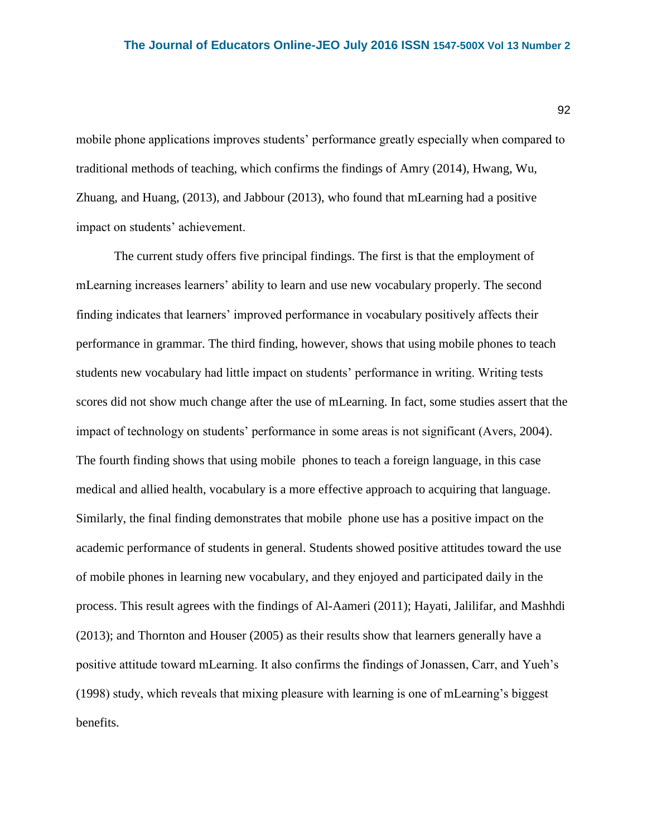mobile phone applications improves students' performance greatly especially when compared to traditional methods of teaching, which confirms the findings of Amry (2014), Hwang, Wu, Zhuang, and Huang, (2013), and Jabbour (2013), who found that mLearning had a positive impact on students' achievement.

The current study offers five principal findings. The first is that the employment of mLearning increases learners' ability to learn and use new vocabulary properly. The second finding indicates that learners' improved performance in vocabulary positively affects their performance in grammar. The third finding, however, shows that using mobile phones to teach students new vocabulary had little impact on students' performance in writing. Writing tests scores did not show much change after the use of mLearning. In fact, some studies assert that the impact of technology on students' performance in some areas is not significant (Avers, 2004). The fourth finding shows that using mobile phones to teach a foreign language, in this case medical and allied health, vocabulary is a more effective approach to acquiring that language. Similarly, the final finding demonstrates that mobile phone use has a positive impact on the academic performance of students in general. Students showed positive attitudes toward the use of mobile phones in learning new vocabulary, and they enjoyed and participated daily in the process. This result agrees with the findings of Al-Aameri (2011); Hayati, Jalilifar, and Mashhdi (2013); and Thornton and Houser (2005) as their results show that learners generally have a positive attitude toward mLearning. It also confirms the findings of Jonassen, Carr, and Yueh's (1998) study, which reveals that mixing pleasure with learning is one of mLearning's biggest benefits.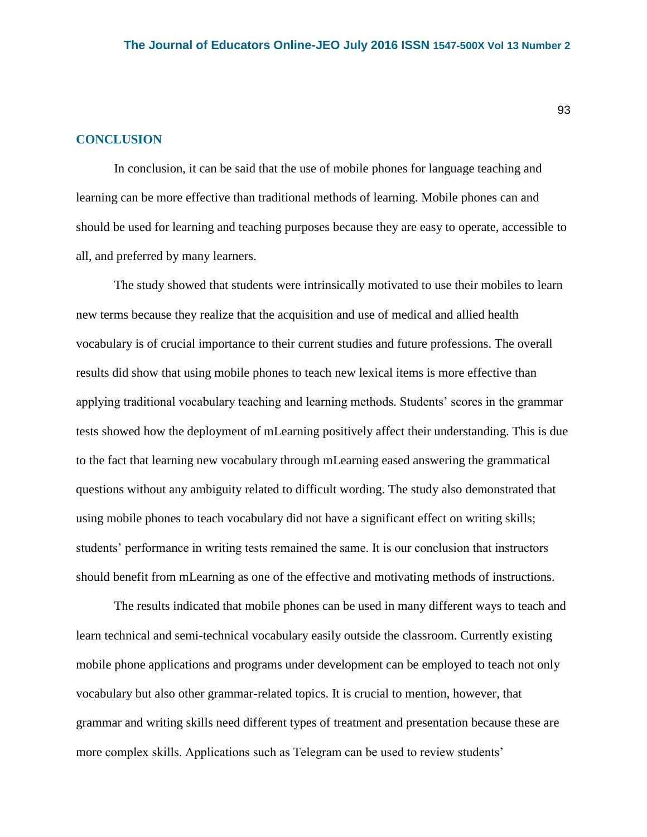## **CONCLUSION**

In conclusion, it can be said that the use of mobile phones for language teaching and learning can be more effective than traditional methods of learning. Mobile phones can and should be used for learning and teaching purposes because they are easy to operate, accessible to all, and preferred by many learners.

The study showed that students were intrinsically motivated to use their mobiles to learn new terms because they realize that the acquisition and use of medical and allied health vocabulary is of crucial importance to their current studies and future professions. The overall results did show that using mobile phones to teach new lexical items is more effective than applying traditional vocabulary teaching and learning methods. Students' scores in the grammar tests showed how the deployment of mLearning positively affect their understanding. This is due to the fact that learning new vocabulary through mLearning eased answering the grammatical questions without any ambiguity related to difficult wording. The study also demonstrated that using mobile phones to teach vocabulary did not have a significant effect on writing skills; students' performance in writing tests remained the same. It is our conclusion that instructors should benefit from mLearning as one of the effective and motivating methods of instructions.

The results indicated that mobile phones can be used in many different ways to teach and learn technical and semi-technical vocabulary easily outside the classroom. Currently existing mobile phone applications and programs under development can be employed to teach not only vocabulary but also other grammar-related topics. It is crucial to mention, however, that grammar and writing skills need different types of treatment and presentation because these are more complex skills. Applications such as Telegram can be used to review students'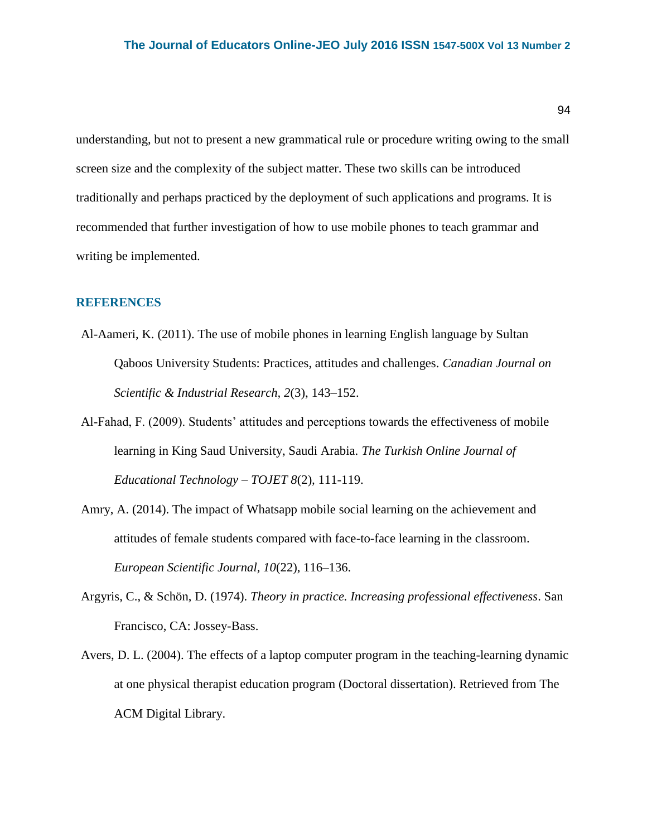understanding, but not to present a new grammatical rule or procedure writing owing to the small screen size and the complexity of the subject matter. These two skills can be introduced traditionally and perhaps practiced by the deployment of such applications and programs. It is recommended that further investigation of how to use mobile phones to teach grammar and writing be implemented.

## **REFERENCES**

- Al-Aameri, K. (2011). The use of mobile phones in learning English language by Sultan Qaboos University Students: Practices, attitudes and challenges. *Canadian Journal on Scientific & Industrial Research, 2*(3), 143–152.
- Al-Fahad, F. (2009). Students' attitudes and perceptions towards the effectiveness of mobile learning in King Saud University, Saudi Arabia. *The Turkish Online Journal of Educational Technology – TOJET 8*(2)*,* 111-119.
- Amry, A. (2014). The impact of Whatsapp mobile social learning on the achievement and attitudes of female students compared with face-to-face learning in the classroom. *European Scientific Journal, 10*(22), 116–136.
- Argyris, C., & Schön, D. (1974). *Theory in practice. Increasing professional effectiveness*. San Francisco, CA: Jossey-Bass.
- Avers, D. L. (2004). The effects of a laptop computer program in the teaching-learning dynamic at one physical therapist education program (Doctoral dissertation). Retrieved from The ACM Digital Library.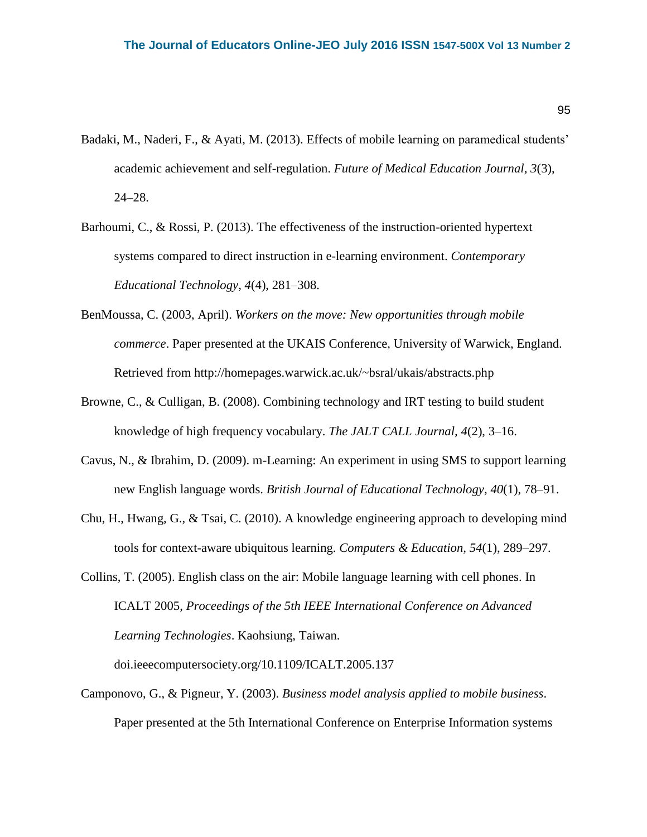- Badaki, M., Naderi, F., & Ayati, M. (2013). Effects of mobile learning on paramedical students' academic achievement and self-regulation. *Future of Medical Education Journal, 3*(3), 24–28.
- Barhoumi, C., & Rossi, P. (2013). The effectiveness of the instruction-oriented hypertext systems compared to direct instruction in e-learning environment. *Contemporary Educational Technology, 4*(4), 281–308.
- BenMoussa, C. (2003, April). *Workers on the move: New opportunities through mobile commerce*. Paper presented at the UKAIS Conference, University of Warwick, England. Retrieved from<http://homepages.warwick.ac.uk/~bsral/ukais/abstracts.php>
- Browne, C., & Culligan, B. (2008). Combining technology and IRT testing to build student knowledge of high frequency vocabulary. *The JALT CALL Journal, 4*(2), 3–16.
- Cavus, N., & Ibrahim, D. (2009). m-Learning: An experiment in using SMS to support learning new English language words. *British Journal of Educational Technology*, *40*(1), 78–91.
- Chu, H., Hwang, G., & Tsai, C. (2010). A knowledge engineering approach to developing mind tools for context-aware ubiquitous learning. *Computers & Education, 54*(1), 289–297.
- Collins, T. (2005). English class on the air: Mobile language learning with cell phones. In [ICALT 2005,](https://www.interaction-design.org/literature/conference/icalt-2005-proceedings-of-the-5th-ieee-international-conference-on-advanced-learning-technologies) *Proceedings of the 5th IEEE International Conference on Advanced Learning Technologies*. Kaohsiung, Taiwan.

doi.ieeecomputersociety.org/10.1109/ICALT.2005.137

Camponov[o, G., & Pigneur, Y. \(2003\).](http://www.flexiblelearning.net.au/knowledgetree/edition06/download/geddes.pdf) *[Business model analysis applied](http://www.flexiblelearning.net.au/knowledgetree/edition06/download/geddes.pdf) to mobile business*. Paper presented at the 5th International Conference on Enterprise Information systems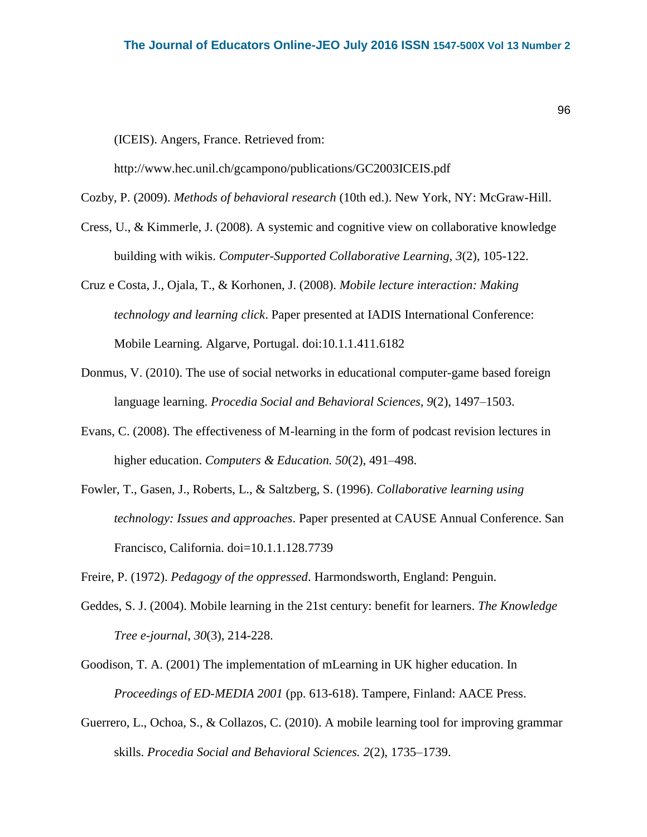(ICEIS). Angers, France. Retrieved from:

<http://www.hec.unil.ch/gcampono/publications/GC2003ICEIS.pdf>

Cozby, P. (2009). *Methods of behavioral research* (10th ed.). New York, NY: McGraw-Hill.

- Cress, U., & Kimmerle, J. (2008). A systemic and cognitive view on collaborative knowledge building with wikis. *Computer-Supported Collaborative Learning, 3*(2), 105-122.
- Cruz e Costa, J., Ojala, T., & Korhonen, J. (2008). *Mobile lecture interaction: Making technology and learning click*. Paper presented at IADIS International Conference: Mobile Learning. Algarve, Portugal. doi:10.1.1.411.6182
- Donmus, V. (2010). The use of social networks in educational computer-game based foreign language learning. *Procedia Social and Behavioral Sciences, 9*(2), 1497–1503.
- Evans, C. (2008). The effectiveness of M-learning in the form of podcast revision lectures in higher education. *Computers & Education. 50*(2), 491–498.
- Fowler, T., Gasen, J., Roberts, L., & Saltzberg, S. (1996). *Collaborative learning using technology: Issues and approaches*. Paper presented at CAUSE Annual Conference. San Francisco, California. doi=10.1.1.128.7739

Freire, P. (1972). *Pedagogy of the oppressed*. Harmondsworth, England: Penguin.

- Geddes, S. J. (2004). Mobile learning in the 21st century: benefit for learners. *The Knowledge Tree e-journal*, *30*(3), 214-228.
- Goodison, T. A. (2001) The implementation of mLearning in UK higher education. In *Proceedings of ED-MEDIA 2001* (pp. 613-618). Tampere, Finland: AACE Press.
- Guerrero, L., Ochoa, S., & Collazos, C. (2010). A mobile learning tool for improving grammar skills. *Procedia Social and Behavioral Sciences. 2*(2), 1735–1739.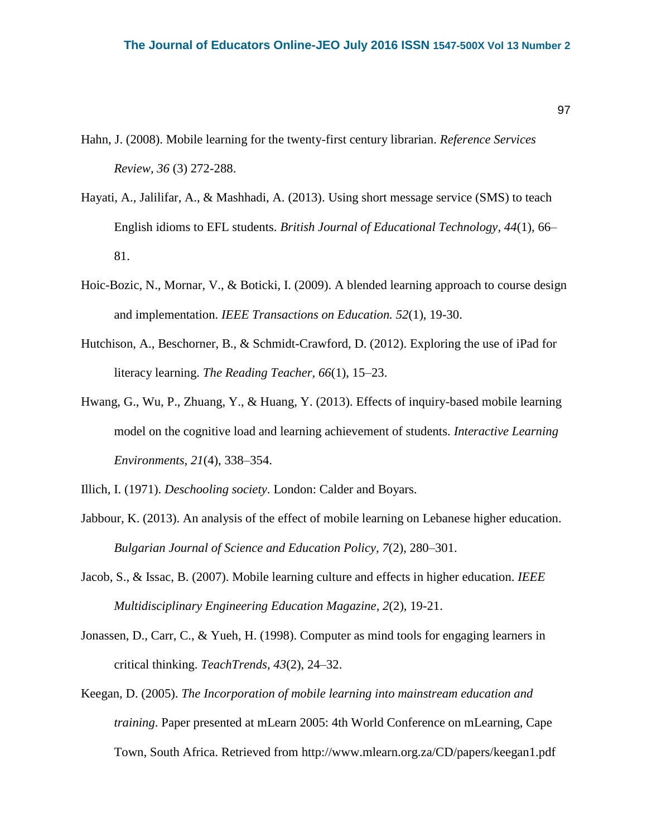- Hahn, J. (2008). Mobile learning for the twenty-first century librarian. *Reference Services Review, 36* (3) 272-288.
- Hayati, A., Jalilifar, A., & Mashhadi, A. (2013). Using short message service (SMS) to teach English idioms to EFL students. *British Journal of Educational Technology, 44*(1), 66– 81.
- Hoic-Bozic, N., Mornar, V., & Boticki, I. (2009). A blended learning approach to course design and implementation. *IEEE Transactions on Education. 52*(1), 19-30.
- Hutchison, A., Beschorner, B., & Schmidt-Crawford, D. (2012). Exploring the use of iPad for literacy learning. *The Reading Teacher, 66*(1), 15–23.
- Hwang, G., Wu, P., Zhuang, Y., & Huang, Y. (2013). Effects of inquiry-based mobile learning model on the cognitive load and learning achievement of students. *Interactive Learning Environments, 21*(4), 338–354.
- Illich, I. (1971). *Deschooling society*. London: Calder and Boyars.
- Jabbour, K. (2013). An analysis of the effect of mobile learning on Lebanese higher education. *Bulgarian Journal of Science and Education Policy, 7*(2), 280–301.
- Jacob, S., & Issac, B. (2007). Mobile learning culture and effects in higher education. *IEEE Multidisciplinary Engineering Education Magazine, 2*(2), 19-21.
- Jonassen, D., Carr, C., & Yueh, H. (1998). Computer as mind tools for engaging learners in critical thinking. *TeachTrends, 43*(2), 24–32.
- Keegan, D. (2005). *The Incorporation of mobile learning into mainstream education and training*. Paper presented at mLearn 2005: 4th World Conference on mLearning, Cape Town, South Africa. Retrieved from<http://www.mlearn.org.za/CD/papers/keegan1.pdf>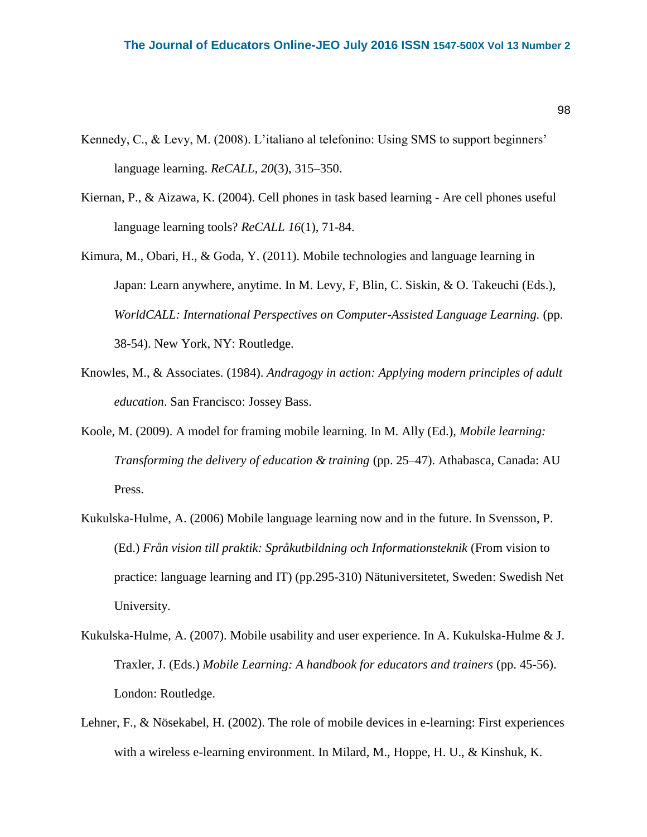- Kennedy, C., & Levy, M. (2008). L'italiano al telefonino: Using SMS to support beginners' language learning. *ReCALL, 20*(3), 315–350.
- Kiernan, P., & Aizawa, K. (2004). Cell phones in task based learning Are cell phones useful language learning tools? *ReCALL 16*(1), 71-84.
- Kimura, M., Obari, H., & Goda, Y. (2011). Mobile technologies and language learning in Japan: Learn anywhere, anytime. In M. Levy, F, Blin, C. Siskin, & O. Takeuchi (Eds.), *WorldCALL: International Perspectives on Computer-Assisted Language Learning.* (pp. 38-54). New York, NY: Routledge.
- Knowles, M., & Associates. (1984). *Andragogy in action: Applying modern principles of adult education*. San Francisco: Jossey Bass.
- Koole, M. (2009). A model for framing mobile learning. In M. Ally (Ed.), *Mobile learning: Transforming the delivery of education & training* (pp. 25–47). Athabasca, Canada: AU Press.
- Kukulska-Hulme, A. (2006) Mobile language learning now and in the future. In Svensson, P. (Ed.) *Från vision till praktik: Språkutbildning och Informationsteknik* (From vision to practice: language learning and IT) (pp.295-310) Nätuniversitetet, Sweden: Swedish Net University.
- Kukulska-Hulme, A. (2007). Mobile usability and user experience. In A. Kukulska-Hulme & J. Traxler, J. (Eds.) *Mobile Learning: A handbook for educators and trainers* (pp. 45-56). London: Routledge.
- Lehner, F., & Nösekabel, H. (2002). The role of mobile devices in e-learning: First experiences with a wireless e-learning environment. In Milard, M., Hoppe, H. U., & Kinshuk, K.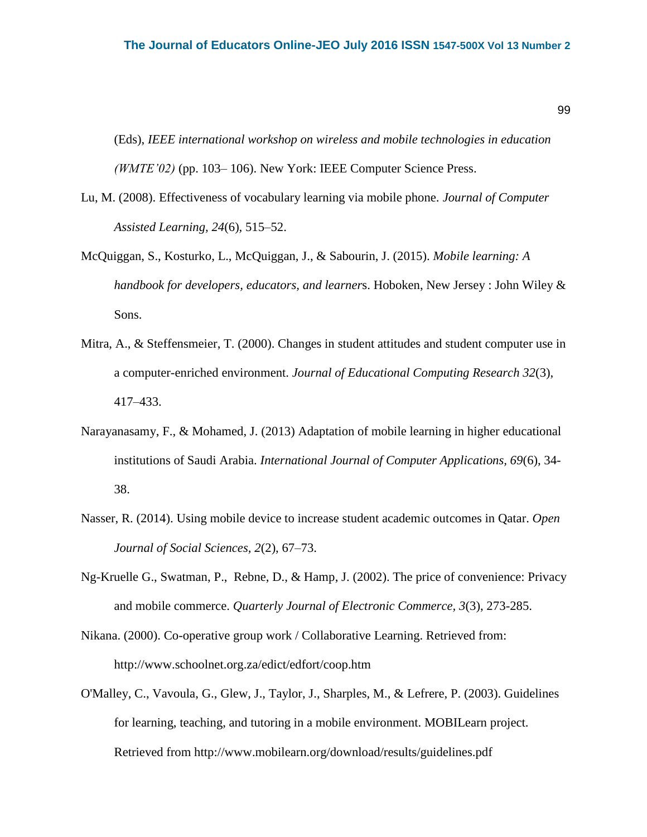(Eds), *IEEE international workshop on wireless and mobile technologies in education (WMTE'02)* (pp. 103– 106). New York: IEEE Computer Science Press.

- Lu, M. (2008). Effectiveness of vocabulary learning via mobile phone. *Journal of Computer Assisted Learning, 24*(6)*,* 515–52.
- McQuiggan, S., Kosturko, L., McQuiggan, J., & Sabourin, J. (2015). *Mobile learning: A handbook for developers, educators, and learner*s. Hoboken, New Jersey : John Wiley & Sons.
- Mitra, A., & Steffensmeier, T. (2000). Changes in student attitudes and student computer use in a computer-enriched environment. *Journal of Educational Computing Research 32*(3), 417–433.
- Narayanasamy, F., & Mohamed, J. (2013) Adaptation of mobile learning in higher educational institutions of Saudi Arabia. *International Journal of Computer Applications, 69*(6), 34- 38.
- Nasser, R. (2014). Using mobile device to increase student academic outcomes in Qatar. *Open Journal of Social Sciences, 2*(2), 67–73.
- Ng-Kruelle G., Swatman, P., Rebne, D., & Hamp, J. (2002). The price of convenience: Privacy and mobile commerce. *Quarterly Journal of Electronic Commerce, 3*(3), 273-285.
- Nikana. (2000). Co-operative group work / Collaborative Learning. Retrieved from: http://www.schoolnet.org.za/edict/edfort/coop.htm
- O'Malley, C., Vavoula, G., Glew, J., Taylor, J., Sharples, M., & Lefrere, P. (2003). Guidelines for learning, teaching, and tutoring in a mobile environment. MOBILearn project. Retrieved from http://www.mobilearn.org/download/results/guidelines.pdf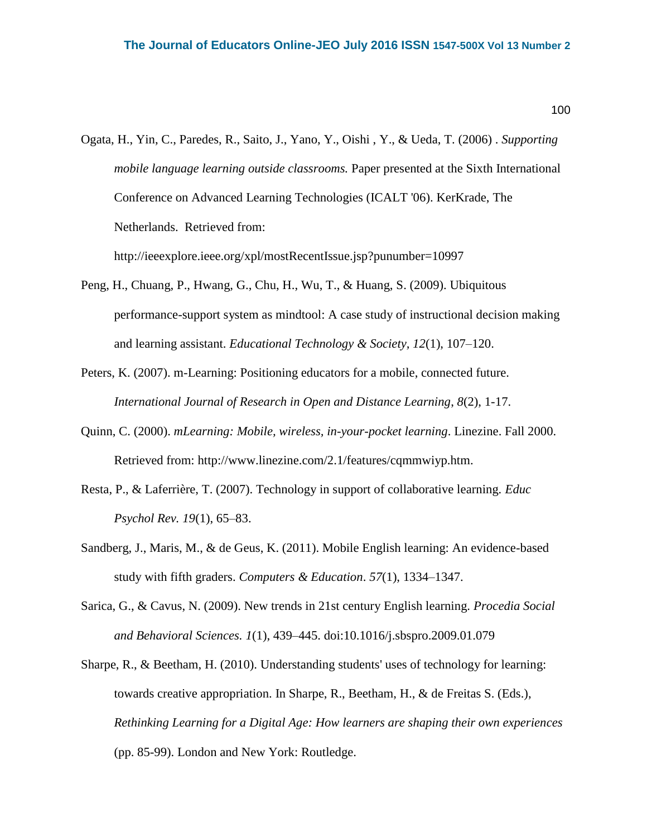Ogata, H., Yin, C., Paredes, R., Saito, J., Yano, Y., Oishi , Y., & Ueda, T. (2006) . *Supporting mobile language learning outside classrooms.* Paper presented at the Sixth International Conference on Advanced Learning Technologies (ICALT '06). KerKrade, The Netherlands. Retrieved from:

<http://ieeexplore.ieee.org/xpl/mostRecentIssue.jsp?punumber=10997>

- Peng, H., Chuang, P., Hwang, G., Chu, H., Wu, T., & Huang, S. (2009). Ubiquitous performance-support system as mindtool: A case study of instructional decision making and learning assistant. *Educational Technology & Society, 12*(1), 107–120.
- Peters, K. (2007). m-Learning: Positioning educators for a mobile, connected future. *International Journal of Research in Open and Distance Learning*, *8*(2), 1-17.
- Quinn, C. (2000). *mLearning: Mobile, wireless, in-your-pocket learning*. Linezine. Fall 2000. Retrieved from: http://www.linezine.com/2.1/features/cqmmwiyp.htm.
- Resta, P., & Laferrière, T. (2007). Technology in support of collaborative learning*. Educ Psychol Rev. 19*(1), 65–83.
- Sandberg, J., Maris, M., & de Geus, K. (2011). Mobile English learning: An evidence-based study with fifth graders. *Computers & Education*. *57*(1), 1334–1347.
- Sarica, G., & Cavus, N. (2009). New trends in 21st century English learning. *Procedia Social and Behavioral Sciences. 1*(1), 439–445. [doi:10.1016/j.sbspro.2009.01.079](http://dx.doi.org/10.1016/j.sbspro.2009.01.079)
- Sharpe, R., & Beetham, H. (2010). Understanding students' uses of technology for learning: towards creative appropriation. In Sharpe, R., Beetham, H., & de Freitas S. (Eds.), *Rethinking Learning for a Digital Age: How learners are shaping their own experiences*  (pp. 85-99). London and New York: Routledge.